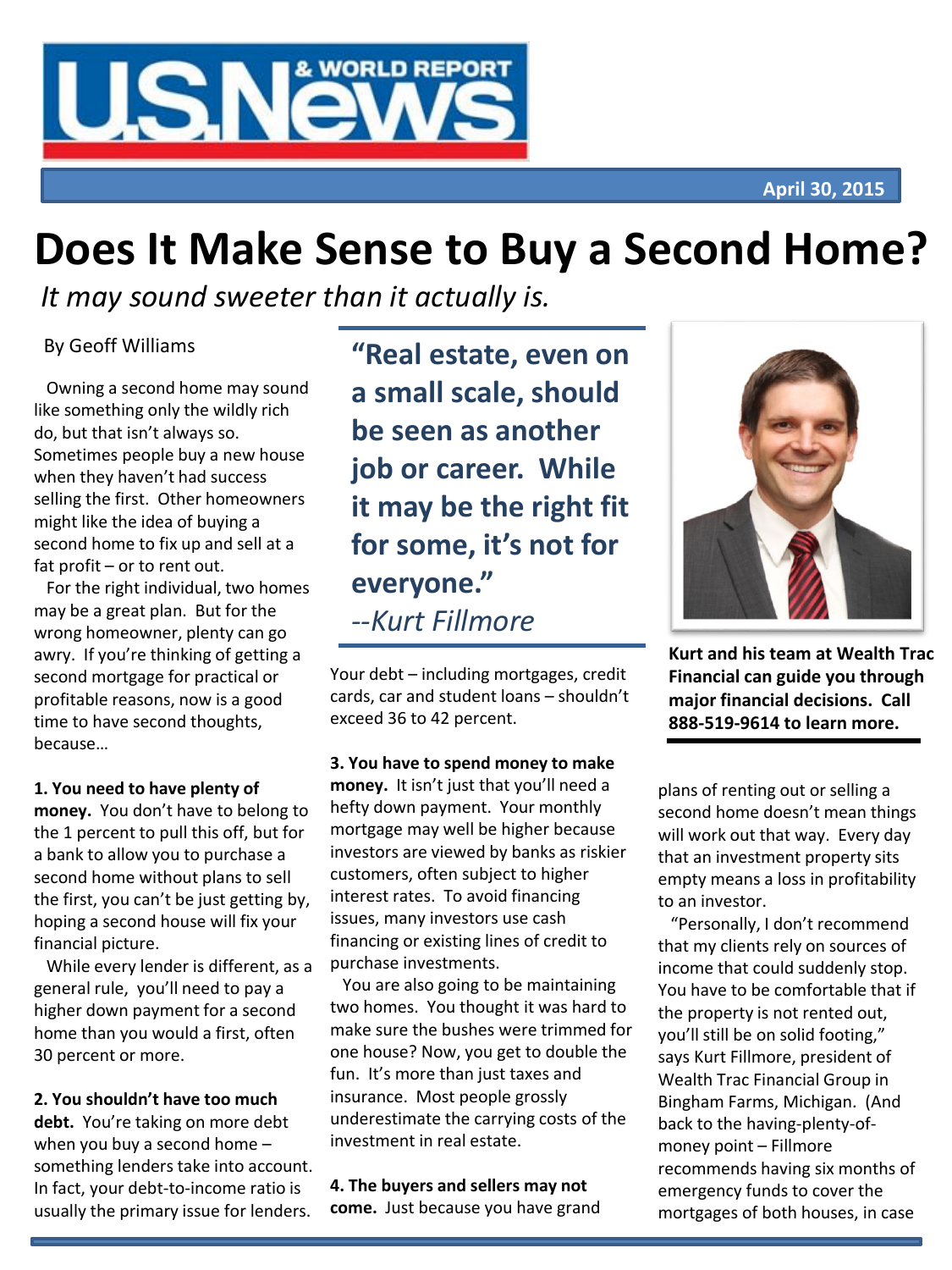

# **Does It Make Sense to Buy a Second Home?**

*It may sound sweeter than it actually is.*

Owning a second home may sound like something only the wildly rich do, but that isn't always so. Sometimes people buy a new house when they haven't had success selling the first. Other homeowners might like the idea of buying a second home to fix up and sell at a fat profit – or to rent out.

For the right individual, two homes may be a great plan. But for the wrong homeowner, plenty can go awry. If you're thinking of getting a second mortgage for practical or profitable reasons, now is a good time to have second thoughts, because…

# **1. You need to have plenty of**

**money.** You don't have to belong to the 1 percent to pull this off, but for a bank to allow you to purchase a second home without plans to sell the first, you can't be just getting by, hoping a second house will fix your financial picture.

While every lender is different, as a general rule, you'll need to pay a higher down payment for a second home than you would a first, often 30 percent or more.

# **2. You shouldn't have too much**

**debt.** You're taking on more debt when you buy a second home – something lenders take into account. In fact, your debt-to-income ratio is usually the primary issue for lenders.

By Geoff Williams **"Real estate, even on a small scale, should be seen as another job or career. While it may be the right fit for some, it's not for everyone."** *--Kurt Fillmore*

> Your debt – including mortgages, credit cards, car and student loans – shouldn't exceed 36 to 42 percent.

**3. You have to spend money to make money.** It isn't just that you'll need a hefty down payment. Your monthly mortgage may well be higher because investors are viewed by banks as riskier customers, often subject to higher interest rates. To avoid financing issues, many investors use cash financing or existing lines of credit to purchase investments.

You are also going to be maintaining two homes. You thought it was hard to make sure the bushes were trimmed for one house? Now, you get to double the fun. It's more than just taxes and insurance. Most people grossly underestimate the carrying costs of the investment in real estate.

**4. The buyers and sellers may not come.** Just because you have grand



**Kurt and his team at Wealth Trac Financial can guide you through major financial decisions. Call 888-519-9614 to learn more.**

plans of renting out or selling a second home doesn't mean things will work out that way. Every day that an investment property sits empty means a loss in profitability to an investor.

"Personally, I don't recommend that my clients rely on sources of income that could suddenly stop. You have to be comfortable that if the property is not rented out, you'll still be on solid footing," says Kurt Fillmore, president of Wealth Trac Financial Group in Bingham Farms, Michigan. (And back to the having-plenty-ofmoney point – Fillmore recommends having six months of emergency funds to cover the mortgages of both houses, in case